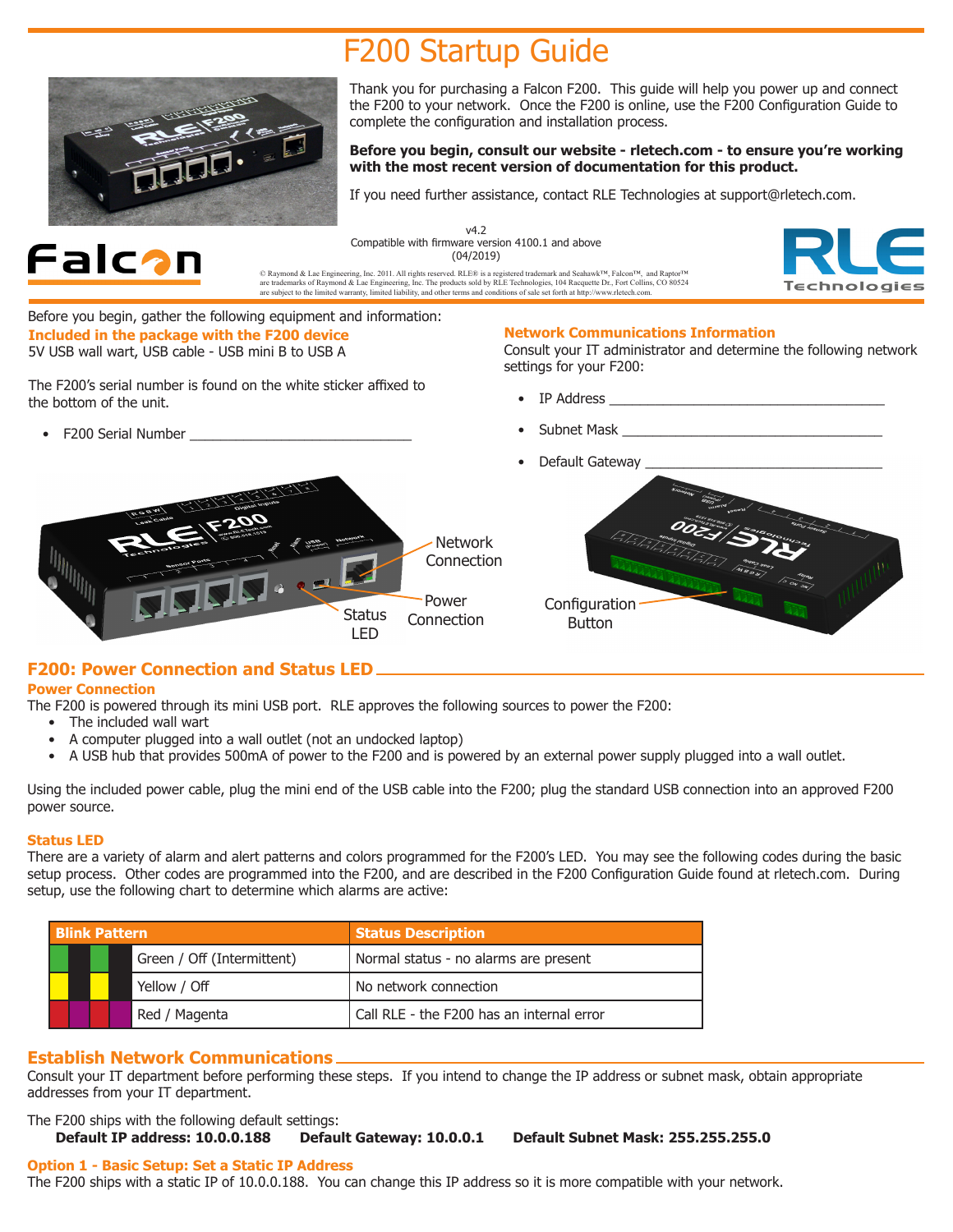# F200 Startup Guide



Thank you for purchasing a Falcon F200. This guide will help you power up and connect the F200 to your network. Once the F200 is online, use the F200 Configuration Guide to complete the configuration and installation process.

#### **Before you begin, consult our website - rletech.com - to ensure you're working with the most recent version of documentation for this product.**

If you need further assistance, contact RLE Technologies at support@rletech.com.



v4.2 Compatible with firmware version 4100.1 and above (04/2019)

© Raymond & Lae Engineering, Inc. 2011. All rights reserved. RLE® is a registered trademark and Seahawk™, Falcon™, and Raptor™<br>are trademarks of Raymond & Lae Engineering, Inc. The products sold by RLE Technologies, 104 R



Before you begin, gather the following equipment and information: **Included in the package with the F200 device** 5V USB wall wart, USB cable - USB mini B to USB A

The F200's serial number is found on the white sticker affixed to the bottom of the unit.

• F200 Serial Number \_\_\_\_\_\_\_\_\_\_\_\_\_\_\_\_\_\_\_\_\_\_\_\_\_\_\_\_\_

# **Network Communications Information**

Consult your IT administrator and determine the following network settings for your F200:

- IP Address
- Subnet Mask



# **F200: Power Connection and Status LED**

#### **Power Connection**

The F200 is powered through its mini USB port. RLE approves the following sources to power the F200:

- The included wall wart
- A computer plugged into a wall outlet (not an undocked laptop)
- A USB hub that provides 500mA of power to the F200 and is powered by an external power supply plugged into a wall outlet.

Using the included power cable, plug the mini end of the USB cable into the F200; plug the standard USB connection into an approved F200 power source.

#### **Status LED**

There are a variety of alarm and alert patterns and colors programmed for the F200's LED. You may see the following codes during the basic setup process. Other codes are programmed into the F200, and are described in the F200 Configuration Guide found at rletech.com. During setup, use the following chart to determine which alarms are active:

| <b>Blink Pattern</b> |                            | <b>Status Description</b>                 |
|----------------------|----------------------------|-------------------------------------------|
|                      | Green / Off (Intermittent) | Normal status - no alarms are present     |
|                      | Yellow / Off               | No network connection                     |
|                      | Red / Magenta              | Call RLE - the F200 has an internal error |

# **Establish Network Communications**

Consult your IT department before performing these steps. If you intend to change the IP address or subnet mask, obtain appropriate addresses from your IT department.

The F200 ships with the following default settings:<br> **Default IP address: 10.0.0.188** Default Gateway: 10.0.0.1 **Default Subnet Mask: 255.255.255.0.** 

#### **Option 1 - Basic Setup: Set a Static IP Address**

The F200 ships with a static IP of 10.0.0.188. You can change this IP address so it is more compatible with your network.